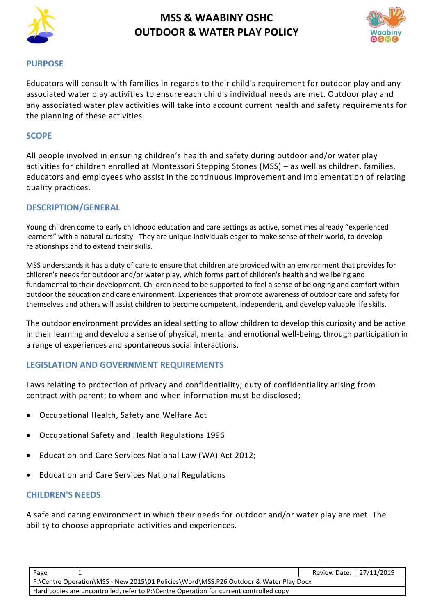

# **MSS & WAABINY OSHC OUTDOOR & WATER PLAY POLICY**



### **PURPOSE**

Educators will consult with families in regards to their child's requirement for outdoor play and any associated water play activities to ensure each child's individual needs are met. Outdoor play and any associated water play activities will take into account current health and safety requirements for the planning of these activities.

## **SCOPE**

All people involved in ensuring children's health and safety during outdoor and/or water play activities for children enrolled at Montessori Stepping Stones (MSS) – as well as children, families, educators and employees who assist in the continuous improvement and implementation of relating quality practices.

## **DESCRIPTION/GENERAL**

Young children come to early childhood education and care settings as active, sometimes already "experienced learners" with a natural curiosity. They are unique individuals eager to make sense of their world, to develop relationships and to extend their skills.

MSS understands it has a duty of care to ensure that children are provided with an environment that provides for children's needs for outdoor and/or water play, which forms part of children's health and wellbeing and fundamental to their development. Children need to be supported to feel a sense of belonging and comfort within outdoor the education and care environment. Experiences that promote awareness of outdoor care and safety for themselves and others will assist children to become competent, independent, and develop valuable life skills.

The outdoor environment provides an ideal setting to allow children to develop this curiosity and be active in their learning and develop a sense of physical, mental and emotional well-being, through participation in a range of experiences and spontaneous social interactions.

# **LEGISLATION AND GOVERNMENT REQUIREMENTS**

Laws relating to protection of privacy and confidentiality; duty of confidentiality arising from contract with parent; to whom and when information must be disclosed;

- [Occupational Health, Safety and Welfare Act](http://www.slp.wa.gov.au/legislation/agency.nsf/docep_main_mrtitle_4245_homepage.html)
- [Occupational Safety and Health Regulations 1996](http://www.slp.wa.gov.au/legislation/agency.nsf/docep_main_mrtitle_12516_homepage.html)
- Education and Care Services National Law (WA) Act 2012;
- Education and Care Services National Regulations

# **CHILDREN'S NEEDS**

A safe and caring environment in which their needs for outdoor and/or water play are met. The ability to choose appropriate activities and experiences.

|  | Page                                                                                                                                                                            |  | Review Date: 27/11/2019 |  |  |
|--|---------------------------------------------------------------------------------------------------------------------------------------------------------------------------------|--|-------------------------|--|--|
|  | P:\Centre Operation\MSS - New 2015\01 Policies\Word\MSS.P26 Outdoor & Water Play.Docx<br>Hard copies are uncontrolled, refer to P:\Centre Operation for current controlled copy |  |                         |  |  |
|  |                                                                                                                                                                                 |  |                         |  |  |